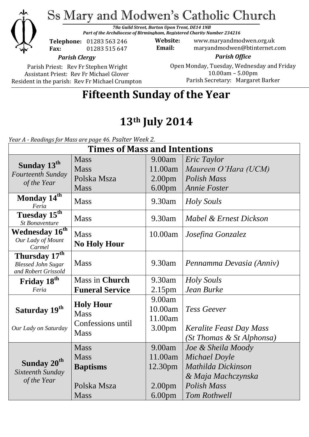

Ss Mary and Modwen's Catholic Church

*78a Guild Street, Burton Upon Trent, DE14 1NB Part of the Archdiocese of Birmingham, Registered Charity Number 234216*

**Telephone:** 01283 563 246 **Fax:** 01283 515 647

**Website:** www.maryandmodwen.org.uk **Email:** maryandmodwen@btinternet.com

*Parish Clergy*

Parish Priest: Rev Fr Stephen Wright Assistant Priest: Rev Fr Michael Glover Resident in the parish: Rev Fr Michael Crumpton

*Parish Office* Open Monday, Tuesday, Wednesday and Friday 10.00am – 5.00pm Parish Secretary:Margaret Barker

# **Fifteenth Sunday of the Year**

# **13th July 2014**

*Year A - Readings for Mass are page 46. Psalter Week 2.*

| <b>Times of Mass and Intentions</b>                                           |                                                                             |                                                                          |                                                                                                                       |
|-------------------------------------------------------------------------------|-----------------------------------------------------------------------------|--------------------------------------------------------------------------|-----------------------------------------------------------------------------------------------------------------------|
| Sunday 13 <sup>th</sup><br>Fourteenth Sunday<br>of the Year                   | <b>Mass</b><br><b>Mass</b><br>Polska Msza<br><b>Mass</b>                    | 9.00am<br>11.00am<br>2.00 <sub>pm</sub><br>6.00 <sub>pm</sub>            | Eric Taylor<br>Maureen O'Hara (UCM)<br><b>Polish Mass</b><br><b>Annie Foster</b>                                      |
| Monday 14 <sup>th</sup><br>Feria                                              | <b>Mass</b>                                                                 | 9.30am                                                                   | <b>Holy Souls</b>                                                                                                     |
| Tuesday 15th<br><b>St Bonaventure</b>                                         | <b>Mass</b>                                                                 | 9.30am                                                                   | Mabel & Ernest Dickson                                                                                                |
| Wednesday 16 <sup>th</sup><br>Our Lady of Mount<br>Carmel                     | <b>Mass</b><br><b>No Holy Hour</b>                                          | 10.00am                                                                  | Josefina Gonzalez                                                                                                     |
| Thursday 17 <sup>th</sup><br><b>Blessed John Sugar</b><br>and Robert Grissold | <b>Mass</b>                                                                 | 9.30am                                                                   | Pennamma Devasia (Anniv)                                                                                              |
| Friday 18 <sup>th</sup>                                                       | Mass in Church                                                              | 9.30am                                                                   | <b>Holy Souls</b>                                                                                                     |
| Feria                                                                         | <b>Funeral Service</b>                                                      | 2.15 <sub>pm</sub>                                                       | Jean Burke                                                                                                            |
| Saturday 19th<br>Our Lady on Saturday                                         | <b>Holy Hour</b><br><b>Mass</b><br>Confessions until<br><b>Mass</b>         | 9.00am<br>10.00am<br>11.00am<br>3.00 <sub>pm</sub>                       | <b>Tess Geever</b><br>Keralite Feast Day Mass<br>(St Thomas & St Alphonsa)                                            |
| Sunday 20 <sup>th</sup><br>Sixteenth Sunday<br>of the Year                    | <b>Mass</b><br><b>Mass</b><br><b>Baptisms</b><br>Polska Msza<br><b>Mass</b> | 9.00am<br>11.00am<br>12.30pm<br>2.00 <sub>pm</sub><br>6.00 <sub>pm</sub> | Joe & Sheila Moody<br>Michael Doyle<br>Mathilda Dickinson<br>& Maja Machczynska<br><b>Polish Mass</b><br>Tom Rothwell |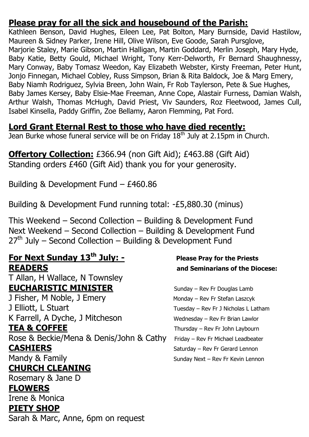## **Please pray for all the sick and housebound of the Parish:**

Kathleen Benson, David Hughes, Eileen Lee, Pat Bolton, Mary Burnside, David Hastilow, Maureen & Sidney Parker, Irene Hill, Olive Wilson, Eve Goode, Sarah Pursglove, Marjorie Staley, Marie Gibson, Martin Halligan, Martin Goddard, Merlin Joseph, Mary Hyde, Baby Katie, Betty Gould, Michael Wright, Tony Kerr-Delworth, Fr Bernard Shaughnessy, Mary Conway, Baby Tomasz Weedon, Kay Elizabeth Webster, Kirsty Freeman, Peter Hunt, Jonjo Finnegan, Michael Cobley, Russ Simpson, Brian & Rita Baldock, Joe & Marg Emery, Baby Niamh Rodriguez, Sylvia Breen, John Wain, Fr Rob Taylerson, Pete & Sue Hughes, Baby James Kersey, Baby Elsie-Mae Freeman, Anne Cope, Alastair Furness, Damian Walsh, Arthur Walsh, Thomas McHugh, David Priest, Viv Saunders, Roz Fleetwood, James Cull, Isabel Kinsella, Paddy Griffin, Zoe Bellamy, Aaron Flemming, Pat Ford.

## **Lord Grant Eternal Rest to those who have died recently:**

Jean Burke whose funeral service will be on Friday  $18<sup>th</sup>$  July at 2.15pm in Church.

**Offertory Collection:** £366.94 (non Gift Aid); £463.88 (Gift Aid) Standing orders £460 (Gift Aid) thank you for your generosity.

Building & Development Fund – £460.86

Building & Development Fund running total: -£5,880.30 (minus)

This Weekend – Second Collection – Building & Development Fund Next Weekend – Second Collection – Building & Development Fund  $27<sup>th</sup>$  July – Second Collection – Building & Development Fund

# **For Next Sunday 13th July: - Please Pray for the Priests READERS and Seminarians of the Diocese:**

T Allan, H Wallace, N Townsley **EUCHARISTIC MINISTER** Sunday – Rev Fr Douglas Lamb

J Fisher, M Noble, J Emery Monday – Rev Fr Stefan Laszcyk J Elliott, L Stuart Tuesday – Rev Fr J Nicholas L Latham K Farrell, A Dyche, J Mitcheson Wednesday – Rev Fr Brian Lawlor **TEA & COFFEE** Thursday – Rev Fr John Laybourn

Rose & Beckie/Mena & Denis/John & Cathy Friday – Rev Fr Michael Leadbeater **CASHIERS** Saturday – Rev Fr Gerard Lennon

**CHURCH CLEANING**

Rosemary & Jane D

#### **FLOWERS**

Irene & Monica **PIETY SHOP**

Sarah & Marc, Anne, 6pm on request

Mandy & Family **Mandy & Family** Sunday Next – Rev Fr Kevin Lennon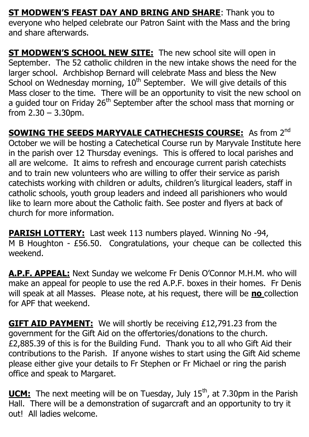**ST MODWEN'S FEAST DAY AND BRING AND SHARE:** Thank you to everyone who helped celebrate our Patron Saint with the Mass and the bring and share afterwards.

**ST MODWEN'S SCHOOL NEW SITE:** The new school site will open in September. The 52 catholic children in the new intake shows the need for the larger school. Archbishop Bernard will celebrate Mass and bless the New School on Wednesday morning, 10<sup>th</sup> September. We will give details of this Mass closer to the time. There will be an opportunity to visit the new school on a guided tour on Friday 26<sup>th</sup> September after the school mass that morning or from  $2.30 - 3.30$ pm.

**SOWING THE SEEDS MARYVALE CATHECHESIS COURSE:** As from 2<sup>nd</sup> October we will be hosting a Catechetical Course run by Maryvale Institute here in the parish over 12 Thursday evenings. This is offered to local parishes and all are welcome. It aims to refresh and encourage current parish catechists and to train new volunteers who are willing to offer their service as parish catechists working with children or adults, children's liturgical leaders, staff in catholic schools, youth group leaders and indeed all parishioners who would like to learn more about the Catholic faith. See poster and flyers at back of church for more information.

**PARISH LOTTERY:** Last week 113 numbers played. Winning No -94, M B Houghton - £56.50. Congratulations, your cheque can be collected this weekend.

**A.P.F. APPEAL:** Next Sunday we welcome Fr Denis O'Connor M.H.M. who will make an appeal for people to use the red A.P.F. boxes in their homes. Fr Denis will speak at all Masses. Please note, at his request, there will be **no** collection for APF that weekend.

**GIFT AID PAYMENT:** We will shortly be receiving £12,791.23 from the government for the Gift Aid on the offertories/donations to the church. £2,885.39 of this is for the Building Fund. Thank you to all who Gift Aid their contributions to the Parish. If anyone wishes to start using the Gift Aid scheme please either give your details to Fr Stephen or Fr Michael or ring the parish office and speak to Margaret.

**UCM:** The next meeting will be on Tuesday, July 15<sup>th</sup>, at 7.30pm in the Parish Hall. There will be a demonstration of sugarcraft and an opportunity to try it out! All ladies welcome.